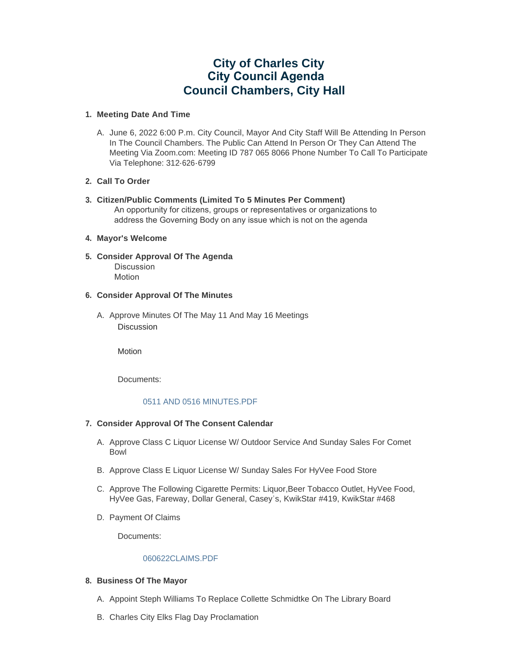# **City of Charles City City Council Agenda Council Chambers, City Hall**

## **Meeting Date And Time 1.**

A. June 6, 2022 6:00 P.m. City Council, Mayor And City Staff Will Be Attending In Person In The Council Chambers. The Public Can Attend In Person Or They Can Attend The Meeting Via Zoom.com: Meeting ID 787 065 8066 Phone Number To Call To Participate Via Telephone: 312-626-6799

# **Call To Order 2.**

**Citizen/Public Comments (Limited To 5 Minutes Per Comment) 3.** An opportunity for citizens, groups or representatives or organizations to address the Governing Body on any issue which is not on the agenda

## **Mayor's Welcome 4.**

**Consider Approval Of The Agenda 5.** Discussion Motion

# **Consider Approval Of The Minutes 6.**

A. Approve Minutes Of The May 11 And May 16 Meetings Discussion

Motion

Documents:

# 0511 AND 0516 MINUTES PDF

## **Consider Approval Of The Consent Calendar 7.**

- A. Approve Class C Liquor License W/ Outdoor Service And Sunday Sales For Comet Bowl
- B. Approve Class E Liquor License W/ Sunday Sales For HyVee Food Store
- C. Approve The Following Cigarette Permits: Liquor, Beer Tobacco Outlet, HyVee Food, HyVee Gas, Fareway, Dollar General, Casey's, KwikStar #419, KwikStar #468
- D. Payment Of Claims

Documents:

## [060622CLAIMS.PDF](https://www.cityofcharlescity.org/AgendaCenter/ViewFile/Item/6493?fileID=4211)

# **Business Of The Mayor 8.**

- A. Appoint Steph Williams To Replace Collette Schmidtke On The Library Board
- B. Charles City Elks Flag Day Proclamation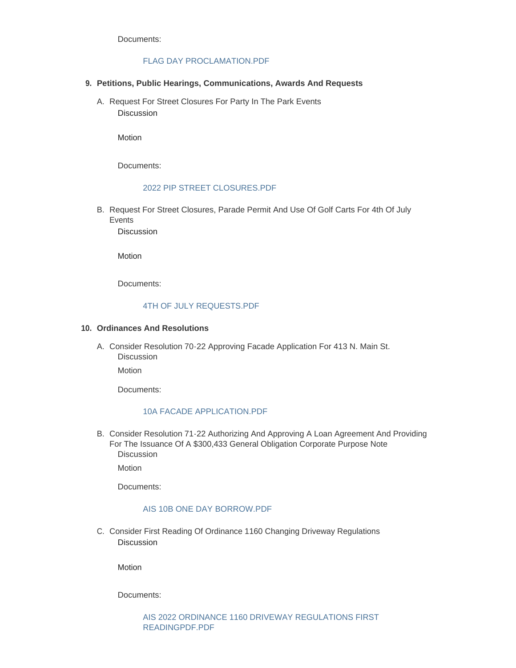Documents:

# [FLAG DAY PROCLAMATION.PDF](https://www.cityofcharlescity.org/AgendaCenter/ViewFile/Item/6495?fileID=4203)

- **Petitions, Public Hearings, Communications, Awards And Requests 9.**
	- A. Request For Street Closures For Party In The Park Events Discussion

Motion

Documents:

#### 2022 PIP STREET CLOSURES PDF

B. Request For Street Closures, Parade Permit And Use Of Golf Carts For 4th Of July **Events** 

Discussion

Motion

Documents:

# [4TH OF JULY REQUESTS.PDF](https://www.cityofcharlescity.org/AgendaCenter/ViewFile/Item/6497?fileID=4205)

#### **Ordinances And Resolutions 10.**

A. Consider Resolution 70-22 Approving Facade Application For 413 N. Main St. **Discussion** 

Motion

Documents:

#### [10A FACADE APPLICATION.PDF](https://www.cityofcharlescity.org/AgendaCenter/ViewFile/Item/6498?fileID=4206)

B. Consider Resolution 71-22 Authorizing And Approving A Loan Agreement And Providing For The Issuance Of A \$300,433 General Obligation Corporate Purpose Note **Discussion** 

**Motion** 

Documents:

#### [AIS 10B ONE DAY BORROW.PDF](https://www.cityofcharlescity.org/AgendaCenter/ViewFile/Item/6499?fileID=4209)

C. Consider First Reading Of Ordinance 1160 Changing Driveway Regulations **Discussion** 

Motion

Documents: